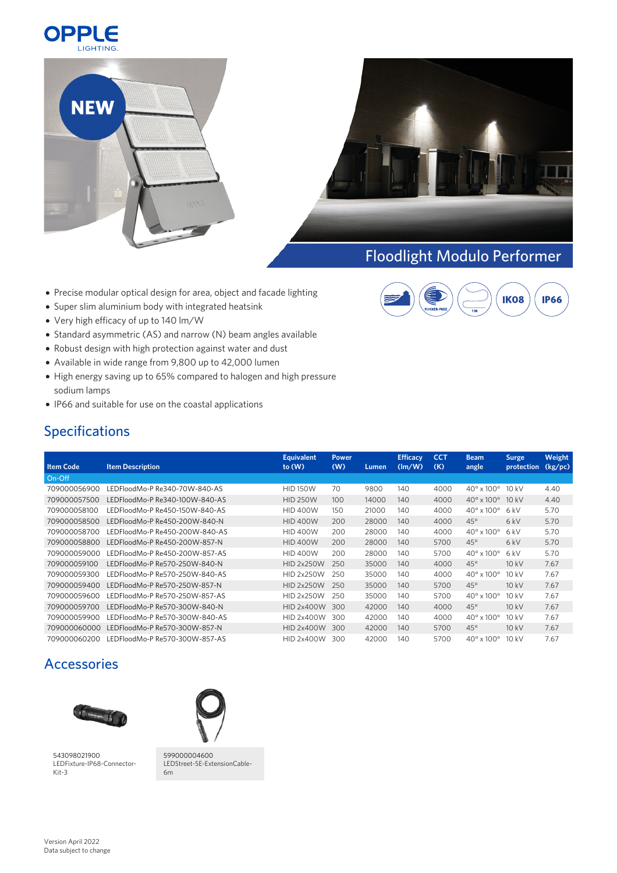





## Floodlight Modulo [Performer](https://www.opple.eu/en/qr/FL_Modulo)

**IP66** 

**IK08** 

- Precise modular optical design for area, object and facade lighting
- Super slim aluminium body with integrated heatsink
- Very high efficacy of up to 140 lm/W
- Standard asymmetric (AS) and narrow (N) beam angles available
- Robust design with high protection against water and dust
- Available in wide range from 9,800 up to 42,000 lumen
- High energy saving up to 65% compared to halogen and high pressure sodium lamps
- IP66 and suitable for use on the coastal applications

## Specifications

|                  |                                | <b>Equivalent</b> | <b>Power</b> |       | <b>Efficacy</b>        | <b>CCT</b> | <b>Beam</b>                  | <b>Surge</b> | Weight  |
|------------------|--------------------------------|-------------------|--------------|-------|------------------------|------------|------------------------------|--------------|---------|
| <b>Item Code</b> | <b>Item Description</b>        | to $(W)$          | (W)          | Lumen | $(\text{Im}/\text{W})$ | (K)        | angle                        | protection   | (kg/pc) |
| On-Off           |                                |                   |              |       |                        |            |                              |              |         |
| 709000056900     | LEDFloodMo-P Re340-70W-840-AS  | <b>HID 150W</b>   | 70           | 9800  | 140                    | 4000       | $40^{\circ}$ x $100^{\circ}$ | 10kV         | 4.40    |
| 709000057500     | LEDFloodMo-P Re340-100W-840-AS | <b>HID 250W</b>   | 100          | 14000 | 140                    | 4000       | $40^{\circ}$ x $100^{\circ}$ | 10kV         | 4.40    |
| 709000058100     | LEDFloodMo-P Re450-150W-840-AS | <b>HID 400W</b>   | 150          | 21000 | 140                    | 4000       | $40^{\circ}$ x $100^{\circ}$ | 6kV          | 5.70    |
| 709000058500     | LEDFloodMo-P Re450-200W-840-N  | <b>HID 400W</b>   | 200          | 28000 | 140                    | 4000       | $45^\circ$                   | 6 kV         | 5.70    |
| 709000058700     | LEDFloodMo-P Re450-200W-840-AS | <b>HID 400W</b>   | 200          | 28000 | 140                    | 4000       | $40^{\circ}$ x $100^{\circ}$ | 6kV          | 5.70    |
| 709000058800     | LEDFloodMo-P Re450-200W-857-N  | <b>HID 400W</b>   | 200          | 28000 | 140                    | 5700       | $45^\circ$                   | 6kV          | 5.70    |
| 709000059000     | LEDFloodMo-P Re450-200W-857-AS | <b>HID 400W</b>   | 200          | 28000 | 140                    | 5700       | $40^{\circ}$ x $100^{\circ}$ | 6kV          | 5.70    |
| 709000059100     | LEDFloodMo-P Re570-250W-840-N  | <b>HID 2x250W</b> | 250          | 35000 | 140                    | 4000       | $45^\circ$                   | 10kV         | 7.67    |
| 709000059300     | LEDFloodMo-P Re570-250W-840-AS | <b>HID 2x250W</b> | 250          | 35000 | 140                    | 4000       | $40^{\circ}$ x $100^{\circ}$ | 10kV         | 7.67    |
| 709000059400     | LEDFloodMo-P Re570-250W-857-N  | <b>HID 2x250W</b> | 250          | 35000 | 140                    | 5700       | $45^\circ$                   | 10 kV        | 7.67    |
| 709000059600     | LEDFloodMo-P Re570-250W-857-AS | <b>HID 2x250W</b> | 250          | 35000 | 140                    | 5700       | $40^{\circ}$ x $100^{\circ}$ | 10kV         | 7.67    |
| 709000059700     | LEDFloodMo-P Re570-300W-840-N  | <b>HID 2x400W</b> | 300          | 42000 | 140                    | 4000       | $45^\circ$                   | 10kV         | 7.67    |
| 709000059900     | LEDFloodMo-P Re570-300W-840-AS | <b>HID 2x400W</b> | 300          | 42000 | 140                    | 4000       | $40^{\circ}$ x $100^{\circ}$ | 10kV         | 7.67    |
| 709000060000     | LEDFloodMo-P Re570-300W-857-N  | <b>HID 2x400W</b> | 300          | 42000 | 140                    | 5700       | $45^\circ$                   | 10kV         | 7.67    |
| 709000060200     | LEDFloodMo-P Re570-300W-857-AS | <b>HID 2x400W</b> | 300          | 42000 | 140                    | 5700       | $40^{\circ}$ x $100^{\circ}$ | 10kV         | 7.67    |

## Accessories



[543098021900](https://opple.eu/en/pid/543098021900) LEDFixture-IP68-Connector- Kit-3



[599000004600](https://opple.eu/en/pid/599000004600) LEDStreet-SE-ExtensionCable- 6m